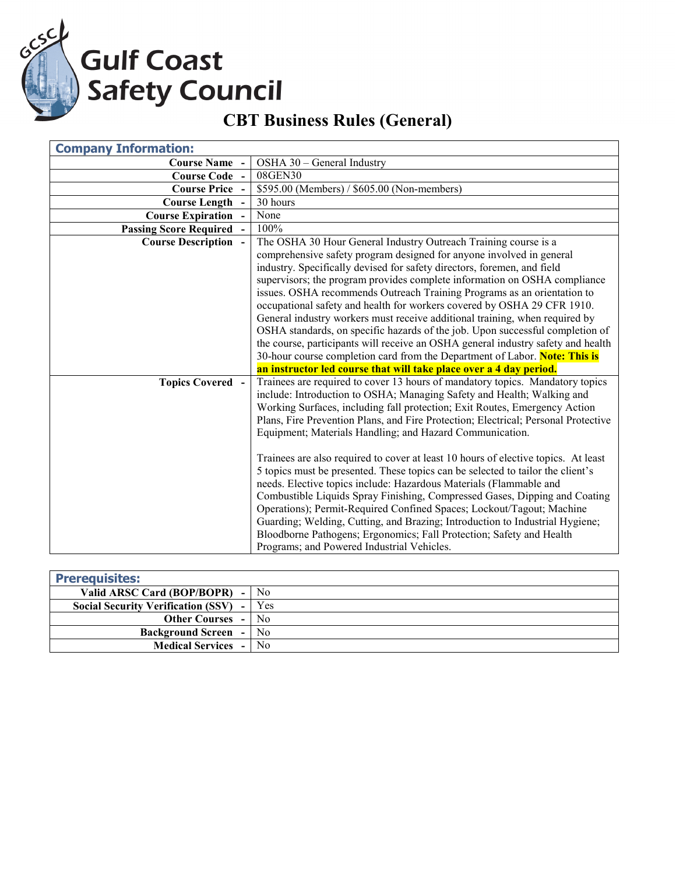GCSCL

**Gulf Coast<br>Safety Council** 

## **CBT Business Rules (General)**

| <b>Company Information:</b>   |                                                                                    |
|-------------------------------|------------------------------------------------------------------------------------|
| <b>Course Name</b> -          | OSHA 30 - General Industry                                                         |
| <b>Course Code</b>            | 08GEN30                                                                            |
| <b>Course Price -</b>         | \$595.00 (Members) / \$605.00 (Non-members)                                        |
| <b>Course Length</b>          | 30 hours                                                                           |
| <b>Course Expiration</b>      | None                                                                               |
| <b>Passing Score Required</b> | 100%                                                                               |
| <b>Course Description -</b>   | The OSHA 30 Hour General Industry Outreach Training course is a                    |
|                               | comprehensive safety program designed for anyone involved in general               |
|                               | industry. Specifically devised for safety directors, foremen, and field            |
|                               | supervisors; the program provides complete information on OSHA compliance          |
|                               | issues. OSHA recommends Outreach Training Programs as an orientation to            |
|                               | occupational safety and health for workers covered by OSHA 29 CFR 1910.            |
|                               | General industry workers must receive additional training, when required by        |
|                               | OSHA standards, on specific hazards of the job. Upon successful completion of      |
|                               | the course, participants will receive an OSHA general industry safety and health   |
|                               | 30-hour course completion card from the Department of Labor. Note: This is         |
|                               | an instructor led course that will take place over a 4 day period.                 |
| <b>Topics Covered -</b>       | Trainees are required to cover 13 hours of mandatory topics. Mandatory topics      |
|                               | include: Introduction to OSHA; Managing Safety and Health; Walking and             |
|                               | Working Surfaces, including fall protection; Exit Routes, Emergency Action         |
|                               | Plans, Fire Prevention Plans, and Fire Protection; Electrical; Personal Protective |
|                               | Equipment; Materials Handling; and Hazard Communication.                           |
|                               |                                                                                    |
|                               | Trainees are also required to cover at least 10 hours of elective topics. At least |
|                               | 5 topics must be presented. These topics can be selected to tailor the client's    |
|                               | needs. Elective topics include: Hazardous Materials (Flammable and                 |
|                               | Combustible Liquids Spray Finishing, Compressed Gases, Dipping and Coating         |
|                               | Operations); Permit-Required Confined Spaces; Lockout/Tagout; Machine              |
|                               | Guarding; Welding, Cutting, and Brazing; Introduction to Industrial Hygiene;       |
|                               | Bloodborne Pathogens; Ergonomics; Fall Protection; Safety and Health               |
|                               | Programs; and Powered Industrial Vehicles.                                         |

| <b>Prerequisites:</b>                                |                |
|------------------------------------------------------|----------------|
| Valid ARSC Card (BOP/BOPR)                           | N <sub>0</sub> |
| <b>Social Security Verification (SSV)</b>            | Yes            |
| <b>Other Courses</b>                                 | No             |
| <b>Background Screen</b><br>$\overline{\phantom{0}}$ | No.            |
| <b>Medical Services</b><br>$\sim$                    | N <sub>0</sub> |